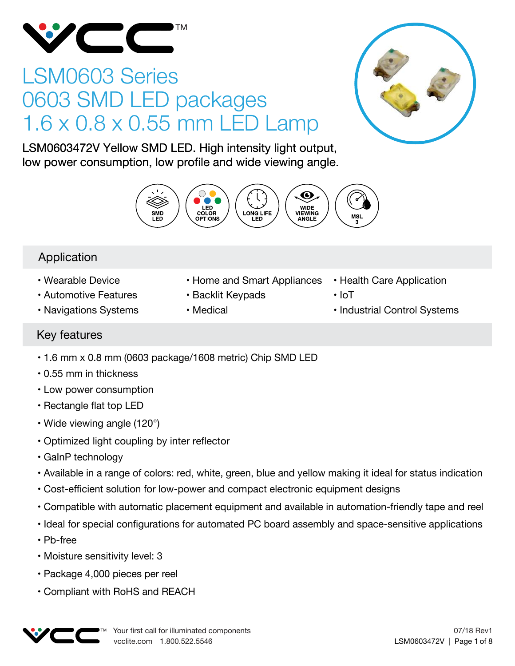

# LSM0603 Series 0603 SMD LED packages 1.6 x 0.8 x 0.55 mm LED Lamp



LSM0603472V Yellow SMD LED. High intensity light output, low power consumption, low profile and wide viewing angle.



# Application

- Wearable Device
- Automotive Features
- Navigations Systems
- Home and Smart Appliances
- Backlit Keypads
- Medical
- Health Care Application
- IoT
- Industrial Control Systems

# Key features

- 1.6 mm x 0.8 mm (0603 package/1608 metric) Chip SMD LED
- 0.55 mm in thickness
- Low power consumption
- Rectangle flat top LED
- Wide viewing angle (120°)
- Optimized light coupling by inter reflector
- GaInP technology
- Available in a range of colors: red, white, green, blue and yellow making it ideal for status indication
- Cost-efficient solution for low-power and compact electronic equipment designs
- Compatible with automatic placement equipment and available in automation-friendly tape and reel
- Ideal for special configurations for automated PC board assembly and space-sensitive applications
- Pb-free
- Moisture sensitivity level: 3
- Package 4,000 pieces per reel
- Compliant with RoHS and REACH

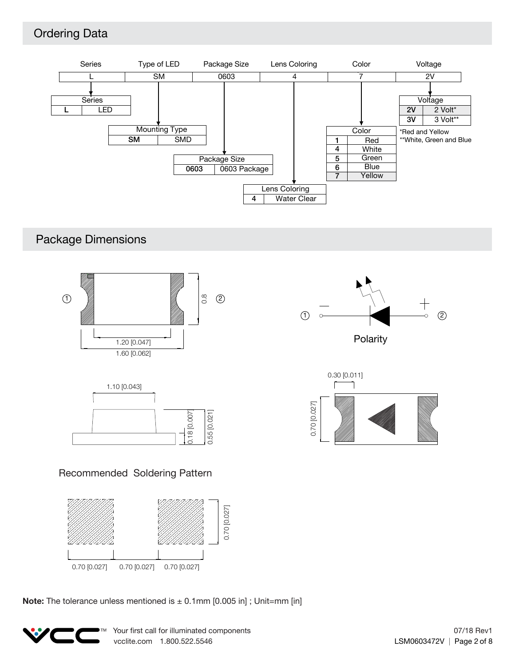# Ordering Data



# Package Dimensions







### Recommended Soldering Pattern



**Note:** The tolerance unless mentioned is  $\pm$  0.1mm [0.005 in]; Unit=mm [in]

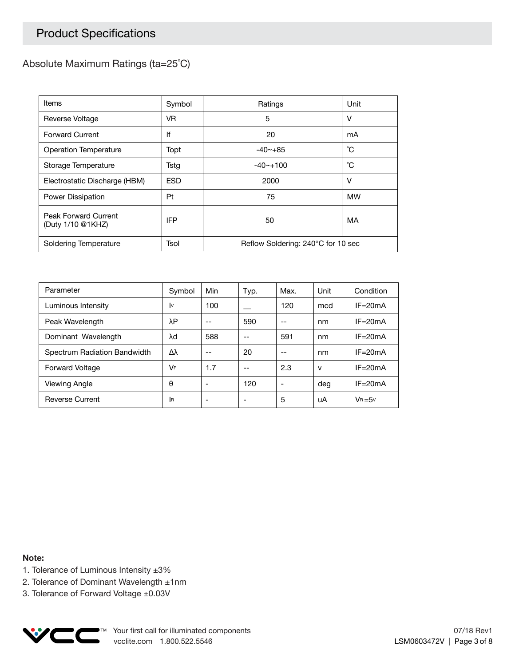# Product Specifications

### Absolute Maximum Ratings (ta=25˚C)

| Items                                     | Symbol     | Ratings                            | Unit |  |
|-------------------------------------------|------------|------------------------------------|------|--|
| Reverse Voltage                           | VR.        | 5                                  | v    |  |
| <b>Forward Current</b>                    | lf         | 20                                 | mA   |  |
| Operation Temperature                     | Topt       | $-40 - +85$                        | °С   |  |
| Storage Temperature                       | Tstg       | $-40$ $-100$                       | °С   |  |
| Electrostatic Discharge (HBM)             | <b>ESD</b> | 2000                               | v    |  |
| Power Dissipation                         | Pt         | 75                                 | МW   |  |
| Peak Forward Current<br>(Duty 1/10 @1KHZ) | <b>IFP</b> | 50                                 | MA   |  |
| Soldering Temperature                     | Tsol       | Reflow Soldering: 240°C for 10 sec |      |  |

| Parameter                    | Symbol     | Min | Typ. | Max. | Unit         | Condition   |
|------------------------------|------------|-----|------|------|--------------|-------------|
| Luminous Intensity           | I٧         | 100 |      | 120  | mcd          | $IF = 20mA$ |
| Peak Wavelength              | λΡ         | --  | 590  | --   | nm           | $IF = 20mA$ |
| Dominant Wavelength          | λd         | 588 | --   | 591  | nm           | $IF = 20mA$ |
| Spectrum Radiation Bandwidth | Δλ         | --  | 20   | --   | nm           | $IF = 20mA$ |
| <b>Forward Voltage</b>       | VF         | 1.7 | --   | 2.3  | $\mathsf{v}$ | $IF = 20mA$ |
| Viewing Angle                | θ          |     | 120  | ٠    | deg          | $IF = 20mA$ |
| <b>Reverse Current</b>       | <b>I</b> R |     |      | 5    | uA           | $V_B = 5v$  |

**Note:**

- 1. Tolerance of Luminous Intensity ±3%
- 2. Tolerance of Dominant Wavelength ±1nm
- 3. Tolerance of Forward Voltage ±0.03V

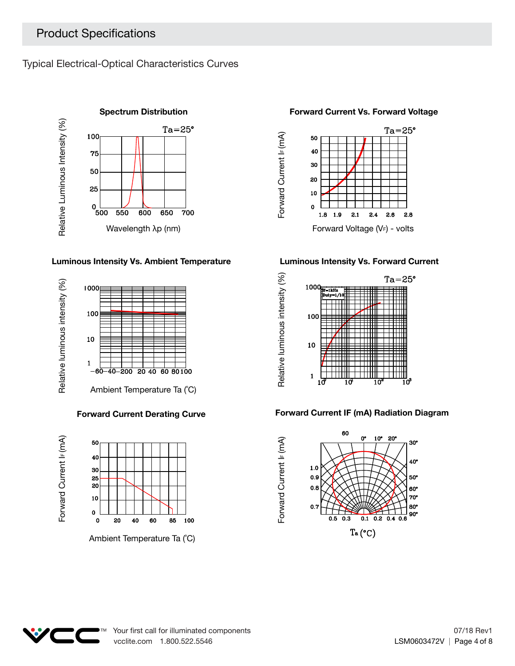Typical Electrical-Optical Characteristics Curves



### **Luminous Intensity Vs. Ambient Temperature Luminous Intensity Vs. Forward Current**



### **Forward Current Derating Curve**





### **Forward Current Vs. Forward Voltage**





### **Forward Current IF (mA) Radiation Diagram**



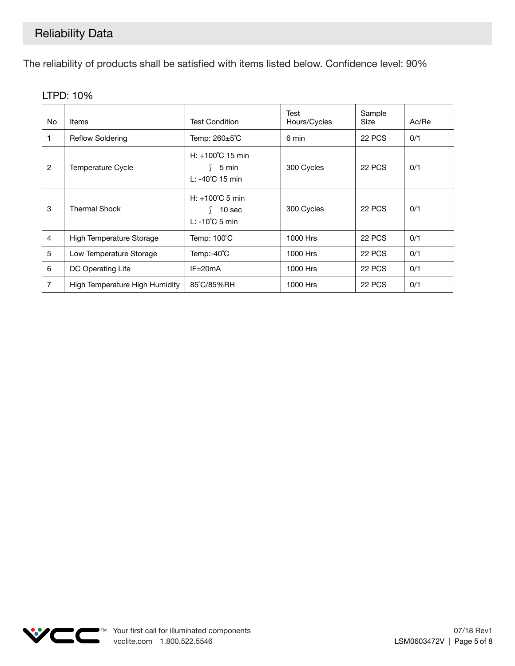The reliability of products shall be satisfied with items listed below. Confidence level: 90%

| No. | <b>Items</b>                   | <b>Test Condition</b>                                                     | Test<br>Hours/Cycles | Sample<br>Size | Ac/Re |
|-----|--------------------------------|---------------------------------------------------------------------------|----------------------|----------------|-------|
|     | <b>Reflow Soldering</b>        | Temp: 260±5°C                                                             | 6 min                | 22 PCS         | 0/1   |
| 2   | <b>Temperature Cycle</b>       | $H: +100^{\circ}C$ 15 min<br>5 min<br>L: -40°C 15 min                     | 300 Cycles           | 22 PCS         | 0/1   |
| 3   | <b>Thermal Shock</b>           | $H: +100^{\circ}$ C 5 min<br>10 <sub>sec</sub><br>$L: -10^{\circ}C$ 5 min | 300 Cycles           | 22 PCS         | 0/1   |
| 4   | High Temperature Storage       | Temp: 100°C                                                               | 1000 Hrs             | 22 PCS         | 0/1   |
| 5   | Low Temperature Storage        | Temp:-40°C                                                                | 1000 Hrs             | <b>22 PCS</b>  | 0/1   |
| 6   | DC Operating Life              | $IF = 20mA$                                                               | 1000 Hrs             | 22 PCS         | 0/1   |
| 7   | High Temperature High Humidity | 85°C/85%RH                                                                | 1000 Hrs             | 22 PCS         | 0/1   |

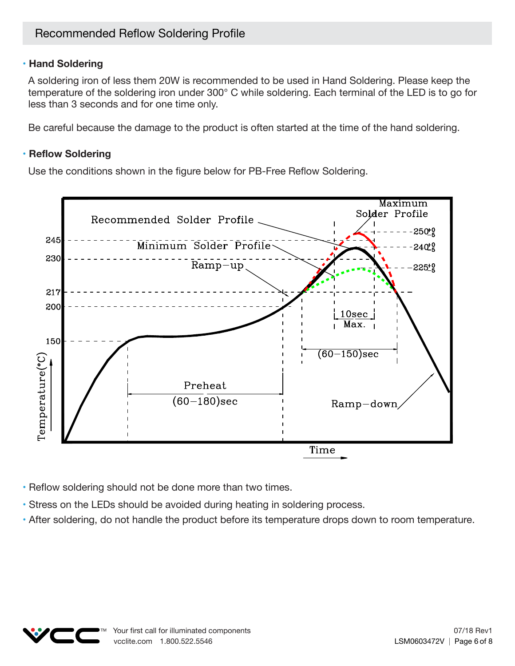### **• Hand Soldering**

A soldering iron of less them 20W is recommended to be used in Hand Soldering. Please keep the temperature of the soldering iron under 300° C while soldering. Each terminal of the LED is to go for less than 3 seconds and for one time only.

Be careful because the damage to the product is often started at the time of the hand soldering.

### **• Reflow Soldering**

Use the conditions shown in the figure below for PB-Free Reflow Soldering.



- Reflow soldering should not be done more than two times.
- Stress on the LEDs should be avoided during heating in soldering process.
- After soldering, do not handle the product before its temperature drops down to room temperature.

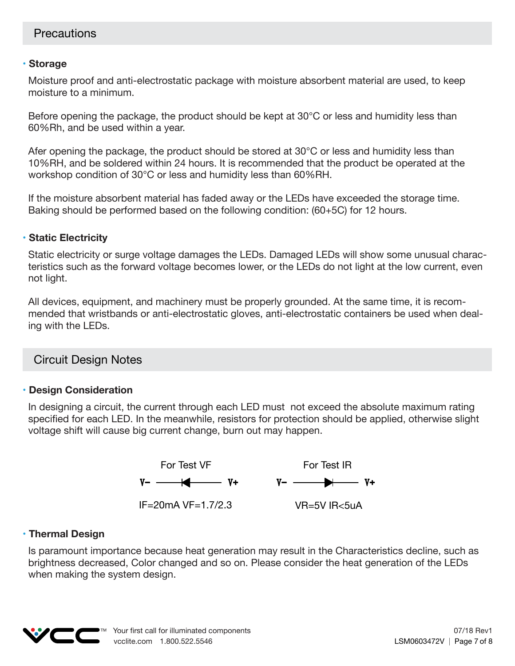### **• Storage**

Moisture proof and anti-electrostatic package with moisture absorbent material are used, to keep moisture to a minimum.

Before opening the package, the product should be kept at 30°C or less and humidity less than 60%Rh, and be used within a year.

Afer opening the package, the product should be stored at 30°C or less and humidity less than 10%RH, and be soldered within 24 hours. It is recommended that the product be operated at the workshop condition of 30°C or less and humidity less than 60%RH.

If the moisture absorbent material has faded away or the LEDs have exceeded the storage time. Baking should be performed based on the following condition: (60+5C) for 12 hours.

### **• Static Electricity**

Static electricity or surge voltage damages the LEDs. Damaged LEDs will show some unusual characteristics such as the forward voltage becomes lower, or the LEDs do not light at the low current, even not light.

All devices, equipment, and machinery must be properly grounded. At the same time, it is recommended that wristbands or anti-electrostatic gloves, anti-electrostatic containers be used when dealing with the LEDs.

## Circuit Design Notes

### **• Design Consideration**

In designing a circuit, the current through each LED must not exceed the absolute maximum rating specified for each LED. In the meanwhile, resistors for protection should be applied, otherwise slight voltage shift will cause big current change, burn out may happen.



### **• Thermal Design**

Is paramount importance because heat generation may result in the Characteristics decline, such as brightness decreased, Color changed and so on. Please consider the heat generation of the LEDs when making the system design.